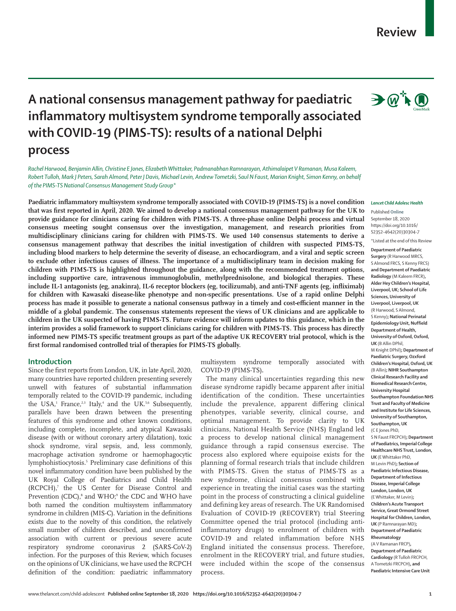#### www.thelancet.com/child-adolescent **Published online September 18, 2020 https://doi.org/10.1016/S2352-4642(20)30304-7 1**

# **A national consensus management pathway for paediatric inflammatory multisystem syndrome temporally associated with COVID-19 (PIMS-TS): results of a national Delphi**

## **process**

*Rachel Harwood, Benjamin Allin, Christine E Jones, Elizabeth Whittaker, Padmanabhan Ramnarayan, Athimalaipet V Ramanan, Musa Kaleem, Robert Tulloh, Mark J Peters, Sarah Almond, Peter J Davis, Michael Levin, Andrew Tometzki, Saul N Faust, Marian Knight, Simon Kenny, on behalf of the PIMS-TS National Consensus Management Study Group\**

**Paediatric inflammatory multisystem syndrome temporally associated with COVID-19 (PIMS-TS) is a novel condition that was first reported in April, 2020. We aimed to develop a national consensus management pathway for the UK to provide guidance for clinicians caring for children with PIMS-TS. A three-phase online Delphi process and virtual consensus meeting sought consensus over the investigation, management, and research priorities from multidisciplinary clinicians caring for children with PIMS-TS. We used 140 consensus statements to derive a consensus management pathway that describes the initial investigation of children with suspected PIMS-TS, including blood markers to help determine the severity of disease, an echocardiogram, and a viral and septic screen to exclude other infectious causes of illness. The importance of a multidisciplinary team in decision making for children with PIMS-TS is highlighted throughout the guidance, along with the recommended treatment options, including supportive care, intravenous immunoglobulin, methylprednisolone, and biological therapies. These include IL-1 antagonists (eg, anakinra), IL-6 receptor blockers (eg, tocilizumab), and anti-TNF agents (eg, infliximab) for children with Kawasaki disease-like phenotype and non-specific presentations. Use of a rapid online Delphi process has made it possible to generate a national consensus pathway in a timely and cost-efficient manner in the middle of a global pandemic. The consensus statements represent the views of UK clinicians and are applicable to children in the UK suspected of having PIMS-TS. Future evidence will inform updates to this guidance, which in the interim provides a solid framework to support clinicians caring for children with PIMS-TS. This process has directly informed new PIMS-TS specific treatment groups as part of the adaptive UK RECOVERY trial protocol, which is the first formal randomised controlled trial of therapies for PIMS-TS globally.**

## **Introduction**

Since the first reports from London, UK, in late April, 2020, many countries have reported children presenting severely unwell with features of substantial inflammation temporally related to the COVID-19 pandemic, including the USA,<sup>1</sup> France,<sup>2,3</sup> Italy,<sup>4</sup> and the UK.<sup>5,6</sup> Subsequently, parallels have been drawn between the presenting features of this syndrome and other known conditions, including complete, incomplete, and atypical Kawasaki disease (with or without coronary artery dilatation), toxic shock syndrome, viral sepsis, and, less commonly, macrophage activation syndrome or haemophagocytic lymphohistiocytosis.5 Preliminary case definitions of this novel inflammatory condition have been published by the UK Royal College of Paediatrics and Child Health (RCPCH),<sup>7</sup> the US Center for Disease Control and Prevention (CDC),<sup>8</sup> and WHO;<sup>9</sup> the CDC and WHO have both named the condition multisystem inflammatory syndrome in children (MIS-C). Variation in the definitions exists due to the novelty of this condition, the relatively small number of children described, and unconfirmed association with current or previous severe acute respiratory syndrome coronavirus 2 (SARS-CoV-2) infection. For the purposes of this Review, which focuses on the opinions of UK clinicians, we have used the RCPCH definition of the condition: paediatric inflammatory

multisystem syndrome temporally associated with COVID-19 (PIMS-TS)**.**

The many clinical uncertainties regarding this new disease syndrome rapidly became apparent after initial identification of the condition**.** These uncertainties include the prevalence, apparent differing clinical phenotypes, variable severity, clinical course, and optimal management. To provide clarity to UK clinicians, National Health Service (NHS) England led a process to develop national clinical management guidance through a rapid consensus exercise. The process also explored where equipoise exists for the planning of formal research trials that include children with PIMS-TS. Given the status of PIMS-TS as a new syndrome, clinical consensus combined with experience in treating the initial cases was the starting point in the process of constructing a clinical guideline and defining key areas of research. The UK Randomised Evaluation of COVID-19 (RECOVERY) trial Steering Committee opened the trial protocol (including antiinflammatory drugs) to enrolment of children with COVID-19 and related inflammation before NHS England initiated the consensus process. Therefore, enrolment in the RECOVERY trial, and future studies, were included within the scope of the consensus process.

#### *Lancet Child Adolesc Health*

Published **Online** September 18, 2020 https://doi.org/10.1016/ S2352-4642(20)30304-7 \*Listed at the end of this Review

**Department of Paediatric Surgery** (R Harwood MRCS, S Almond FRCS, S Kenny FRCS) **and Department of Paediatric Radiology** (M Kaleem FRCR)**, Alder Hey Children's Hospital, Liverpool, UK; School of Life Sciences, University of Liverpool, Liverpool, UK**  (R Harwood, S Almond, S Kenny)**; National Perinatal Epidemiology Unit, Nuffield Department of Health, University of Oxford, Oxford, UK** (B Allin DPhil, M Knight DPhil)**; Department of**  Paediatric Surgery, Ozxford **Children's Hospital, Oxford, UK**  (B Allin)**; NIHR Southampton Clinical Research Facility and Biomedical Research Centre, University Hospital Southampton Foundation NHS Trust and Faculty of Medicine and Institute for Life Sciences, University of Southampton, Southampton, UK**  (C E Jones PhD, S N Faust FRCPCH)**; Department of Paediatrics, Imperial College Healthcare NHS Trust, London, UK** (E Whittaker PhD, M Levin PhD)**; Section of Paediatric Infectious Disease, Department of Infectious Disease, Imperial College London, London, UK**  (E Whittaker, M Levin)**; Children's Acute Transport Service, Great Ormond Street Hospital for Children, London, UK** (P Ramnarayan MD)**; Department of Paediatric Rheumatology**  (A V Ramanan FRCP)**, Department of Paediatric Cardiology** (R Tulloh FRCPCH,

A Tometzki FRCPCH)**, and Paediatric Intensive Care Unit**

 $\rightarrow$   $\mathbb{Q}^+$   $\bullet$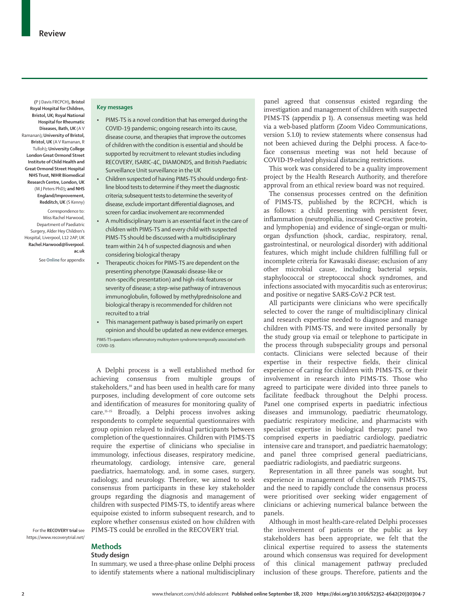**(**P J Davis FRCPCH)**, Bristol Royal Hospital for Children, Bristol, UK; Royal National Hospital for Rheumatic Diseases, Bath, UK** (A V Ramanan)**; University of Bristol, Bristol, UK** (A V Ramanan, R Tulloh)**; University College London Great Ormond Street Institute of Child Health and Great Ormond Street Hospital NHS Trust, NIHR Biomedical Research Centre, London, UK**  (M J Peters PhD)**; and NHS England/Improvement, Redditch, UK** (S Kenny)

Correspondence to: Miss Rachel Harwood, Department of Paediatric Surgery, Alder Hey Children's Hospital, Liverpool, L12 2AP, UK **Rachel.Harwood@liverpool. ac.uk**

See**Online** for appendix

## **Key messages**

- PIMS-TS is a novel condition that has emerged during the COVID-19 pandemic; ongoing research into its cause, disease course, and therapies that improve the outcomes of children with the condition is essential and should be supported by recruitment to relevant studies including RECOVERY, ISARIC-4C, DIAMONDS, and British Paediatric Surveillance Unit surveillance in the UK
- Children suspected of having PIMS-TS should undergo firstline blood tests to determine if they meet the diagnostic criteria; subsequent tests to determine the severity of disease, exclude important differential diagnoses, and screen for cardiac involvement are recommended
- A multidisciplinary team is an essential facet in the care of children with PIMS-TS and every child with suspected PIMS-TS should be discussed with a multidisciplinary team within 24 h of suspected diagnosis and when considering biological therapy
- Therapeutic choices for PIMS-TS are dependent on the presenting phenotype (Kawasaki disease-like or non-specific presentation) and high-risk features or severity of disease; a step-wise pathway of intravenous immunoglobulin, followed by methylprednisolone and biological therapy is recommended for children not recruited to a trial
- This management pathway is based primarily on expert opinion and should be updated as new evidence emerges. PIMS-TS=paediatric inflammatory multisystem syndrome temporally associated with COVID-19.

A Delphi process is a well established method for achieving consensus from multiple groups of stakeholders,<sup>10</sup> and has been used in health care for many purposes, including development of core outcome sets and identification of measures for monitoring quality of care.11–15 Broadly, a Delphi process involves asking respondents to complete sequential questionnaires with group opinion relayed to individual participants between completion of the questionnaires. Children with PIMS-TS require the expertise of clinicians who specialise in immunology, infectious diseases, respiratory medicine, rheumatology, cardiology, intensive care, general paediatrics, haematology, and, in some cases, surgery, radiology, and neurology. Therefore, we aimed to seek consensus from participants in these key stakeholder groups regarding the diagnosis and management of children with suspected PIMS-TS, to identify areas where equipoise existed to inform subsequent research, and to explore whether consensus existed on how children with PIMS-TS could be enrolled in the RECOVERY trial.

For the **RECOVERY trial** see https://www.recoverytrial.net/

## **Methods**

## **Study design**

In summary, we used a three-phase online Delphi process to identify statements where a national multidisciplinary panel agreed that consensus existed regarding the investigation and management of children with suspected PIMS-TS (appendix p 1). A consensus meeting was held via a web-based platform (Zoom Video Communications, version 5.1.0) to review statements where consensus had not been achieved during the Delphi process. A face-toface consensus meeting was not held because of COVID-19-related physical distancing restrictions.

This work was considered to be a quality improvement project by the Health Research Authority, and therefore approval from an ethical review board was not required.

The consensus processes centred on the definition of PIMS-TS, published by the RCPCH, which is as follows: a child presenting with persistent fever, inflammation (neutrophilia, increased C-reactive protein, and lymphopenia) and evidence of single-organ or multiorgan dysfunction (shock, cardiac, respiratory, renal, gastrointestinal, or neurological disorder) with additional features, which might include children fulfilling full or incomplete criteria for Kawasaki disease; exclusion of any other microbial cause, including bacterial sepsis, staphylococcal or streptococcal shock syndromes, and infections associated with myocarditis such as enterovirus; and positive or negative SARS-CoV-2 PCR test.

All participants were clinicians who were specifically selected to cover the range of multidisciplinary clinical and research expertise needed to diagnose and manage children with PIMS-TS, and were invited personally by the study group via email or telephone to participate in the process through subspeciality groups and personal contacts. Clinicians were selected because of their expertise in their respective fields, their clinical experience of caring for children with PIMS-TS, or their involvement in research into PIMS-TS. Those who agreed to participate were divided into three panels to facilitate feedback throughout the Delphi process. Panel one comprised experts in paediatric infectious diseases and immunology, paediatric rheumatology, paediatric respiratory medicine, and pharmacists with specialist expertise in biological therapy; panel two comprised experts in paediatric cardiology, paediatric intensive care and transport, and paediatric haematology; and panel three comprised general paediatricians, paediatric radiologists, and paediatric surgeons.

Representation in all three panels was sought, but experience in management of children with PIMS-TS, and the need to rapidly conclude the consensus process were prioritised over seeking wider engagement of clinicians or achieving numerical balance between the panels.

Although in most health-care-related Delphi processes the involvement of patients or the public as key stakeholders has been appropriate, we felt that the clinical expertise required to assess the statements around which consensus was required for development of this clinical management pathway precluded inclusion of these groups. Therefore, patients and the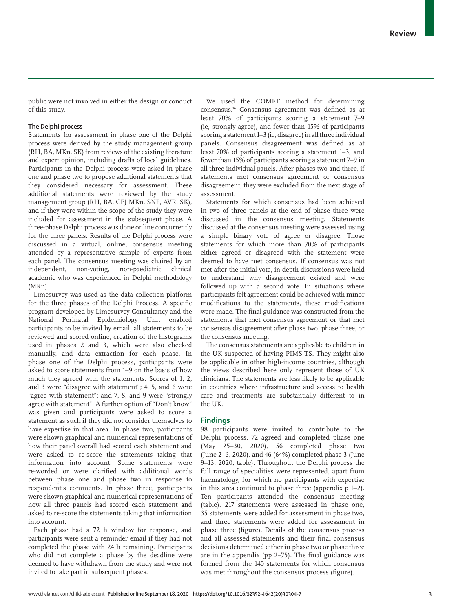public were not involved in either the design or conduct of this study.

## **The Delphi process**

Statements for assessment in phase one of the Delphi process were derived by the study management group (RH, BA, MKn, SK) from reviews of the existing literature and expert opinion, including drafts of local guidelines. Participants in the Delphi process were asked in phase one and phase two to propose additional statements that they considered necessary for assessment. These additional statements were reviewed by the study management group (RH, BA, CEJ MKn, SNF, AVR, SK), and if they were within the scope of the study they were included for assessment in the subsequent phase. A three-phase Delphi process was done online concurrently for the three panels. Results of the Delphi process were discussed in a virtual, online, consensus meeting attended by a representative sample of experts from each panel. The consensus meeting was chaired by an independent, non-voting, non-paediatric clinical academic who was experienced in Delphi methodology (MKn).

Limesurvey was used as the data collection platform for the three phases of the Delphi Process. A specific program developed by Limesurvey Consultancy and the National Perinatal Epidemiology Unit enabled participants to be invited by email, all statements to be reviewed and scored online, creation of the histograms used in phases 2 and 3, which were also checked manually, and data extraction for each phase. In phase one of the Delphi process, participants were asked to score statements from 1–9 on the basis of how much they agreed with the statements. Scores of 1, 2, and 3 were "disagree with statement"; 4, 5, and 6 were "agree with statement"; and 7, 8, and 9 were "strongly agree with statement". A further option of "Don't know" was given and participants were asked to score a statement as such if they did not consider themselves to have expertise in that area. In phase two, participants were shown graphical and numerical representations of how their panel overall had scored each statement and were asked to re-score the statements taking that information into account. Some statements were re-worded or were clarified with additional words between phase one and phase two in response to respondent's comments. In phase three, participants were shown graphical and numerical representations of how all three panels had scored each statement and asked to re-score the statements taking that information into account.

Each phase had a 72 h window for response, and participants were sent a reminder email if they had not completed the phase with 24 h remaining. Participants who did not complete a phase by the deadline were deemed to have withdrawn from the study and were not invited to take part in subsequent phases.

We used the COMET method for determining consensus.16 Consensus agreement was defined as at least 70% of participants scoring a statement 7–9 (ie, strongly agree), and fewer than 15% of participants scoring a statement 1–3 (ie, disagree) in all three individual panels. Consensus disagreement was defined as at least 70% of participants scoring a statement 1–3, and fewer than 15% of participants scoring a statement 7–9 in all three individual panels. After phases two and three, if statements met consensus agreement or consensus disagreement, they were excluded from the next stage of assessment.

Statements for which consensus had been achieved in two of three panels at the end of phase three were discussed in the consensus meeting. Statements discussed at the consensus meeting were assessed using a simple binary vote of agree or disagree. Those statements for which more than 70% of participants either agreed or disagreed with the statement were deemed to have met consensus. If consensus was not met after the initial vote, in-depth discussions were held to understand why disagreement existed and were followed up with a second vote. In situations where participants felt agreement could be achieved with minor modifications to the statements, these modifications were made. The final guidance was constructed from the statements that met consensus agreement or that met consensus disagreement after phase two, phase three, or the consensus meeting.

The consensus statements are applicable to children in the UK suspected of having PIMS-TS. They might also be applicable in other high-income countries, although the views described here only represent those of UK clinicians. The statements are less likely to be applicable in countries where infrastructure and access to health care and treatments are substantially different to in the UK.

## **Findings**

98 participants were invited to contribute to the Delphi process, 72 agreed and completed phase one (May 25–30, 2020), 56 completed phase two (June 2–6, 2020), and 46 (64%) completed phase 3 (June 9–13, 2020; table). Throughout the Delphi process the full range of specialities were represented, apart from haematology, for which no participants with expertise in this area continued to phase three (appendix p 1–2). Ten participants attended the consensus meeting (table). 217 statements were assessed in phase one, 35 statements were added for assessment in phase two, and three statements were added for assessment in phase three (figure). Details of the consensus process and all assessed statements and their final consensus decisions determined either in phase two or phase three are in the appendix (pp 2–75). The final guidance was formed from the 140 statements for which consensus was met throughout the consensus process (figure).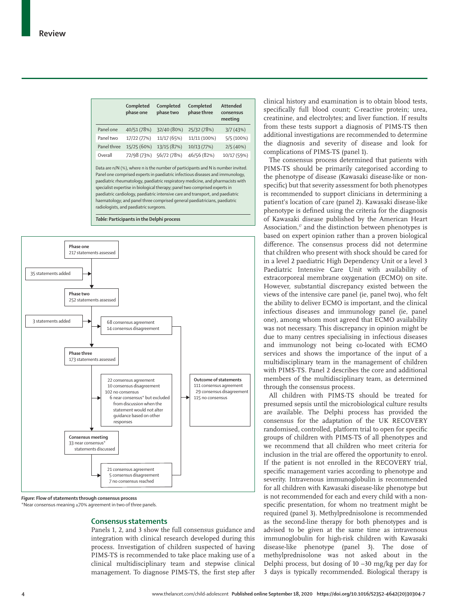|             | Completed<br>phase one | Completed<br>phase two | Completed<br>phase three | Attended<br>consensus<br>meeting |
|-------------|------------------------|------------------------|--------------------------|----------------------------------|
| Panel one   | 40/51 (78%)            | 32/40 (80%)            | 25/32 (78%)              | 3/7(43%)                         |
| Panel two   | 17/22 (77%)            | 11/17 (65%)            | 11/11 (100%)             | 5/5(100%)                        |
| Panel three | 15/25 (60%)            | 13/15 (87%)            | 10/13 (77%)              | 2/5(40%)                         |
| Overall     | 72/98 (73%)            | 56/72 (78%)            | 46/56 (82%)              | 10/17 (59%)                      |
|             |                        |                        |                          |                                  |

Data are n/N (%), where n is the number of participants and N is number invited. Panel one comprised experts in paediatric infectious diseases and immunology, paediatric rheumatology, paediatric respiratory medicine, and pharmacists with specialist expertise in biological therapy; panel two comprised experts in paediatric cardiology, paediatric intensive care and transport, and paediatric haematology; and panel three comprised general paediatricians, paediatric radiologists, and paediatric surgeons.





*Figure:* **Flow of statements through consensus process**

\*Near consensus meaning ≥70% agreement in two of three panels.

#### **Consensus statements**

Panels 1, 2, and 3 show the full consensus guidance and integration with clinical research developed during this process. Investigation of children suspected of having PIMS-TS is recommended to take place making use of a clinical multidisciplinary team and stepwise clinical management. To diagnose PIMS-TS, the first step after clinical history and examination is to obtain blood tests, specifically full blood count; C-reactive protein; urea, creatinine, and electrolytes; and liver function. If results from these tests support a diagnosis of PIMS-TS then additional investigations are recommended to determine the diagnosis and severity of disease and look for complications of PIMS-TS (panel 1).

The consensus process determined that patients with PIMS-TS should be primarily categorised according to the phenotype of disease (Kawasaki disease-like or nonspecific) but that severity assessment for both phenotypes is recommended to support clinicians in determining a patient's location of care (panel 2). Kawasaki disease-like phenotype is defined using the criteria for the diagnosis of Kawasaki disease published by the American Heart Association, $<sup>T</sup>$  and the distinction between phenotypes is</sup> based on expert opinion rather than a proven biological difference. The consensus process did not determine that children who present with shock should be cared for in a level 2 paediatric High Dependency Unit or a level 3 Paediatric Intensive Care Unit with availability of extracorporeal membrane oxygenation (ECMO) on site. However, substantial discrepancy existed between the views of the intensive care panel (ie, panel two), who felt the ability to deliver ECMO is important, and the clinical infectious diseases and immunology panel (ie, panel one), among whom most agreed that ECMO availability was not necessary. This discrepancy in opinion might be due to many centres specialising in infectious diseases and immunology not being co-located with ECMO services and shows the importance of the input of a multidisciplinary team in the management of children with PIMS-TS. Panel 2 describes the core and additional members of the multidisciplinary team, as determined through the consensus process.

All children with PIMS-TS should be treated for presumed sepsis until the microbiological culture results are available. The Delphi process has provided the consensus for the adaptation of the UK RECOVERY randomised, controlled, platform trial to open for specific groups of children with PIMS-TS of all phenotypes and we recommend that all children who meet criteria for inclusion in the trial are offered the opportunity to enrol. If the patient is not enrolled in the RECOVERY trial, specific management varies according to phenotype and severity. Intravenous immunoglobulin is recommended for all children with Kawasaki disease-like phenotype but is not recommended for each and every child with a nonspecific presentation, for whom no treatment might be required (panel 3). Methylprednisolone is recommended as the second-line therapy for both phenotypes and is advised to be given at the same time as intravenous immunoglobulin for high-risk children with Kawasaki disease-like phenotype (panel 3). The dose of methylprednisolone was not asked about in the Delphi process, but dosing of  $10 - 30$  mg/kg per day for 3 days is typically recommended. Biological therapy is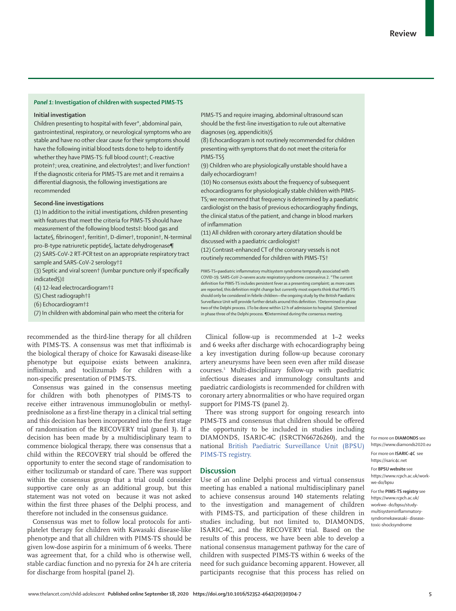## *Panel 1***: Investigation of children with suspected PIMS-TS**

## **Initial investigation**

Children presenting to hospital with fever\*, abdominal pain, gastrointestinal, respiratory, or neurological symptoms who are stable and have no other clear cause for their symptoms should have the following initial blood tests done to help to identify whether they have PIMS-TS: full blood count†; C-reactive protein†; urea, creatinine, and electrolytes†; and liver function† If the diagnostic criteria for PIMS-TS are met and it remains a differential diagnosis, the following investigations are recommended

## **Second-line investigations**

(1) In addition to the initial investigations, children presenting with features that meet the criteria for PIMS-TS should have measurement of the following blood tests‡: blood gas and lactate§, fibrinogen†, ferritin†, D-dimer†, troponin†, N-terminal pro-B-type natriuretic peptide§, lactate dehydrogenase¶ (2) SARS-CoV-2 RT-PCR test on an appropriate respiratory tract sample and SARS-CoV-2 serology†‡

(3) Septic and viral screen† (lumbar puncture only if specifically indicated§)‡

(4) 12-lead electrocardiogram†‡

(5) Chest radiograph†‡

(6) Echocardiogram†‡

(7) In children with abdominal pain who meet the criteria for

PIMS-TS and require imaging, abdominal ultrasound scan should be the first-line investigation to rule out alternative diagnoses (eg, appendicitis)§

(8) Echocardiogram is not routinely recommended for children presenting with symptoms that do not meet the criteria for PIMS-TS§

(9) Children who are physiologically unstable should have a daily echocardiogram†

(10) No consensus exists about the frequency of subsequent echocardiograms for physiologically stable children with PIMS-TS; we recommend that frequency is determined by a paediatric cardiologist on the basis of previous echocardiography findings, the clinical status of the patient, and change in blood markers of inflammation

(11) All children with coronary artery dilatation should be discussed with a paediatric cardiologist†

(12) Contrast-enhanced CT of the coronary vessels is not routinely recommended for children with PIMS-TS†

PIMS-TS=paediatric inflammatory multisystem syndrome temporally associated with COVID-19. SARS-CoV-2=severe acute respiratory syndrome coronavirus 2. \*The current definition for PIMS-TS includes persistent fever as a presenting complaint; as more cases are reported, this definition might change but currently most experts think that PIMS-TS should only be considered in febrile children—the ongoing study by the British Paediatric Surveillance Unit will provide further details around this definition. †Determined in phase two of the Delphi process. ‡To be done within 12 h of admission to hospital. §Determined in phase three of the Delphi process. ¶Determined during the consensus meeting.

recommended as the third-line therapy for all children with PIMS-TS. A consensus was met that infliximab is the biological therapy of choice for Kawasaki disease-like phenotype but equipoise exists between anakinra, infliximab, and tocilizumab for children with a non-specific presentation of PIMS-TS.

Consensus was gained in the consensus meeting for children with both phenotypes of PIMS-TS to receive either intravenous immunoglobulin or methylprednisolone as a first-line therapy in a clinical trial setting and this decision has been incorporated into the first stage of randomisation of the RECOVERY trial (panel 3). If a decision has been made by a multidisciplinary team to commence biological therapy, there was consensus that a child within the RECOVERY trial should be offered the opportunity to enter the second stage of randomisation to either tocilizumab or standard of care. There was support within the consensus group that a trial could consider supportive care only as an additional group, but this statement was not voted on because it was not asked within the first three phases of the Delphi process, and therefore not included in the consensus guidance.

Consensus was met to follow local protocols for antiplatelet therapy for children with Kawasaki disease-like phenotype and that all children with PIMS-TS should be given low-dose aspirin for a minimum of 6 weeks. There was agreement that, for a child who is otherwise well, stable cardiac function and no pyrexia for 24 h are criteria for discharge from hospital (panel 2).

Clinical follow-up is recommended at 1–2 weeks and 6 weeks after discharge with echocardiography being a key investigation during follow-up because coronary artery aneurysms have been seen even after mild disease courses.5 Multi-disciplinary follow-up with paediatric infectious diseases and immunology consultants and paediatric cardiologists is recommended for children with coronary artery abnormalities or who have required organ support for PIMS-TS (panel 2).

There was strong support for ongoing research into PIMS-TS and consensus that children should be offered the opportunity to be included in studies including DIAMONDS, ISARIC-4C (ISRCTN66726260), and the national British Paediatric Surveillance Unit (BPSU) PIMS-TS registry.

## **Discussion**

Use of an online Delphi process and virtual consensus meeting has enabled a national multidisciplinary panel to achieve consensus around 140 statements relating to the investigation and management of children with PIMS-TS, and participation of these children in studies including, but not limited to, DIAMONDS, ISARIC-4C, and the RECOVERY trial. Based on the results of this process, we have been able to develop a national consensus management pathway for the care of children with suspected PIMS-TS within 6 weeks of the need for such guidance becoming apparent. However, all participants recognise that this process has relied on

For more on **DIAMONDS** see https://www.diamonds2020.eu For more on **ISARIC-4C** see https://isaric4c.net For **BPSU website** see https://www.rcpch.ac.uk/workwe-do/bpsu For the **PIMS-TS registry** see https://www.rcpch.ac.uk/ workwe- do/bpsu/studymultisysteminflammatorysyndromekawasaki- disease-

toxic-shocksyndrome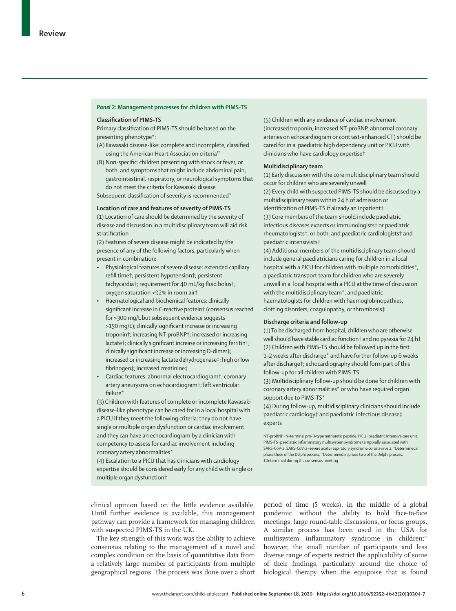## *Panel 2***: Management processes for children with PIMS-TS**

## **Classification of PIMS-TS**

Primary classification of PIMS-TS should be based on the presenting phenotype\*:

- (A) Kawasaki disease-like: complete and incomplete, classified using the American Heart Association criteria<sup>17</sup>
- (B) Non-specific: children presenting with shock or fever, or both, and symptoms that might include abdominal pain, gastrointestinal, respiratory, or neurological symptoms that do not meet the criteria for Kawasaki disease

Subsequent classification of severity is recommended\*

## **Location of care and features of severity of PIMS-TS**

(1) Location of care should be determined by the severity of disease and discussion in a multidisciplinary team will aid risk stratification

(2) Features of severe disease might be indicated by the presence of any of the following factors, particularly when present in combination:

- Physiological features of severe disease: extended capillary refill time†; persistent hypotension†; persistent tachycardia†; requirement for 40 mL/kg fluid bolus†; oxygen saturation <92% in room air†
- Haematological and biochemical features: clinically significant increase in C-reactive protein† (consensus reached for >300 mg/L but subsequent evidence suggests >150 mg/L); clinically significant increase or increasing troponin†; increasing NT-proBNP†; increased or increasing lactate†; clinically significant increase or increasing ferritin†; clinically significant increase or increasing D-dimer‡; increased or increasing lactate dehydrogenase‡; high or low fibrinogen‡; increased creatinine‡
- Cardiac features: abnormal electrocardiogram†; coronary artery aneurysms on echocardiogram†; left ventricular failure\*

(3) Children with features of complete or incomplete Kawasaki disease-like phenotype can be cared for in a local hospital with a PICU if they meet the following criteria: they do not have single or multiple organ dysfunction or cardiac involvement and they can have an echocardiogram by a clinician with competency to assess for cardiac involvement including coronary artery abnormalities\*

(4) Escalation to a PICU that has clinicians with cardiology expertise should be considered early for any child with single or multiple organ dysfunction†

(5) Children with any evidence of cardiac involvement (increased troponin, increased NT-proBNP, abnormal coronary arteries on echocardiogram or contrast-enhanced CT) should be cared for in a paediatric high dependency unit or PICU with clinicians who have cardiology expertise†

## **Multidisciplinary team**

(1) Early discussion with the core multidisciplinary team should occur for children who are severely unwell (2) Every child with suspected PIMS-TS should be discussed by a multidisciplinary team within 24 h of admission or identification of PIMS-TS if already an inpatient† (3) Core members of the team should include paediatric infectious diseases experts or immunologists† or paediatric rheumatologists†, or both, and paediatric cardiologists† and paediatric intensivists†

(4) Additional members of the multidisciplinary team should include general paediatricians caring for children in a local hospital with a PICU for children with multiple comorbidities\*, a paediatric transport team for children who are severely unwell in a local hospital with a PICU at the time of discussion with the multidisciplinary team\*, and paediatric haematologists for children with haemoglobinopathies, clotting disorders, coagulopathy, or thrombosis‡

## **Discharge criteria and follow-up**

(1) To be discharged from hospital, children who are otherwise well should have stable cardiac function† and no pyrexia for 24 h‡ (2) Children with PIMS-TS should be followed up in the first 1–2 weeks after discharge\* and have further follow-up 6 weeks after discharge†; echocardiography should form part of this follow-up for all children with PIMS-TS

(3) Multidisciplinary follow-up should be done for children with coronary artery abnormalities\* or who have required organ support due to PIMS-TS\*

(4) During follow-up, multidisciplinary clinicians should include paediatric cardiology† and paediatric infectious disease‡ experts

NT-proBNP=N-terminal pro-B-type natriuretic peptide. PICU=paediatric intensive care unit. PIMS-TS=paediatric inflammatory multisystem syndrome temporally associated with SARS-CoV-2. SARS-CoV-2=severe acute respiratory syndrome coronavirus 2. \*Determined in phase three of the Delphi process. †Determined in phase two of the Delphi process. ‡Determined during the consensus meeting

clinical opinion based on the little evidence available. Until further evidence is available, this management pathway can provide a framework for managing children with suspected PIMS-TS in the UK.

The key strength of this work was the ability to achieve consensus relating to the management of a novel and complex condition on the basis of quantitative data from a relatively large number of participants from multiple geographical regions. The process was done over a short

period of time (5 weeks), in the middle of a global pandemic, without the ability to hold face-to-face meetings, large round-table discussions, or focus groups. A similar process has been used in the USA for multisystem inflammatory syndrome in children;<sup>19</sup> however, the small number of participants and less diverse range of experts restrict the applicability of some of their findings, particularly around the choice of biological therapy when the equipoise that is found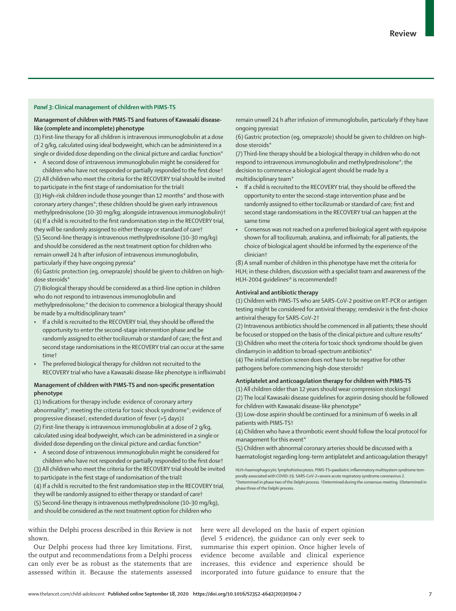## *Panel 3***: Clinical management of children with PIMS-TS**

## **Management of children with PIMS-TS and features of Kawasaki diseaselike (complete and incomplete) phenotype**

(1) First-line therapy for all children is intravenous immunoglobulin at a dose of 2 g/kg, calculated using ideal bodyweight, which can be administered in a single or divided dose depending on the clinical picture and cardiac function\*

• A second dose of intravenous immunoglobulin might be considered for children who have not responded or partially responded to the first dose† (2) All children who meet the criteria for the RECOVERY trial should be invited to participate in the first stage of randomisation for the trial‡

(3) High-risk children include those younger than 12 months\* and those with coronary artery changes\*; these children should be given early intravenous methylprednisolone (10-30 mg/kg; alongside intravenous immunoglobulin)† (4) If a child is recruited to the first randomisation step in the RECOVERY trial, they will be randomly assigned to either therapy or standard of care† (5) Second-line therapy is intravenous methylprednisolone (10–30 mg/kg) and should be considered as the next treatment option for children who remain unwell 24 h after infusion of intravenous immunoglobulin, particularly if they have ongoing pyrexia\*

(6) Gastric protection (eg, omeprazole) should be given to children on highdose steroids\*

(7) Biological therapy should be considered as a third-line option in children who do not respond to intravenous immunoglobulin and

methylprednisolone;\* the decision to commence a biological therapy should be made by a multidisciplinary team\*

- If a child is recruited to the RECOVERY trial, they should be offered the opportunity to enter the second-stage intervention phase and be randomly assigned to either tocilizumab or standard of care; the first and second stage randomisations in the RECOVERY trial can occur at the same time†
- The preferred biological therapy for children not recruited to the RECOVERY trial who have a Kawasaki disease-like phenotype is infliximab‡

## **Management of children with PIMS-TS and non-specific presentation phenotype**

(1) Indications for therapy include: evidence of coronary artery abnormality\*; meeting the criteria for toxic shock syndrome\*; evidence of progressive disease‡; extended duration of fever (>5 days)‡

(2) First-line therapy is intravenous immunoglobulin at a dose of 2 g/kg, calculated using ideal bodyweight, which can be administered in a single or divided dose depending on the clinical picture and cardiac function\*

• A second dose of intravenous immunoglobulin might be considered for children who have not responded or partially responded to the first dose† (3) All children who meet the criteria for the RECOVERY trial should be invited

to participate in the first stage of randomisation of the trial‡

(4) If a child is recruited to the first randomisation step in the RECOVERY trial, they will be randomly assigned to either therapy or standard of care†

(5) Second-line therapy is intravenous methylprednisolone (10–30 mg/kg), and should be considered as the next treatment option for children who

remain unwell 24 h after infusion of immunoglobulin, particularly if they have ongoing pyrexia‡

(6) Gastric protection (eg, omeprazole) should be given to children on highdose steroids\*

(7) Third-line therapy should be a biological therapy in children who do not respond to intravenous immunoglobulin and methylprednisolone\*; the decision to commence a biological agent should be made by a multidisciplinary team\*

- If a child is recruited to the RECOVERY trial, they should be offered the opportunity to enter the second-stage intervention phase and be randomly assigned to either tocilizumab or standard of care; first and second stage randomisations in the RECOVERY trial can happen at the same time
- Consensus was not reached on a preferred biological agent with equipoise shown for all tocilizumab, anakinra, and infliximab; for all patients, the choice of biological agent should be informed by the experience of the clinician†

(8) A small number of children in this phenotype have met the criteria for HLH; in these children, discussion with a specialist team and awareness of the HLH-2004 quidelines<sup>18</sup> is recommended<sup>+</sup>

## **Antiviral and antibiotic therapy**

(1) Children with PIMS-TS who are SARS-CoV-2 positive on RT-PCR or antigen testing might be considered for antiviral therapy; remdesivir is the first-choice antiviral therapy for SARS-CoV-2†

(2) Intravenous antibiotics should be commenced in all patients; these should be focused or stopped on the basis of the clinical picture and culture results<sup>\*</sup> (3) Children who meet the criteria for toxic shock syndrome should be given clindamycin in addition to broad-spectrum antibiotics\*

(4) The initial infection screen does not have to be negative for other pathogens before commencing high-dose steroids†

## **Antiplatelet and anticoagulation therapy for children with PIMS-TS**

(1) All children older than 12 years should wear compression stockings‡ (2) The local Kawasaki disease guidelines for aspirin dosing should be followed for children with Kawasaki disease-like phenotype\*

(3) Low-dose aspirin should be continued for a minimum of 6 weeks in all patients with PIMS-TS†

(4) Children who have a thrombotic event should follow the local protocol for management for this event\*

(5) Children with abnormal coronary arteries should be discussed with a haematologist regarding long-term antiplatelet and anticoagulation therapy†

HLH=haemophagocytic lymphohistiocytosis. PIMS-TS=paediatric inflammatory multisystem syndrome temporally associated with COVID-19. SARS-CoV-2=severe acute respiratory syndrome coronavirus 2. \*Determined in phase two of the Delphi process. †Determined during the consensus meeting. ‡Determined in phase three of the Delphi process.

within the Delphi process described in this Review is not shown.

Our Delphi process had three key limitations. First, the output and recommendations from a Delphi process can only ever be as robust as the statements that are assessed within it. Because the statements assessed here were all developed on the basis of expert opinion (level 5 evidence), the guidance can only ever seek to summarise this expert opinion. Once higher levels of evidence become available and clinical experience increases, this evidence and experience should be incorporated into future guidance to ensure that the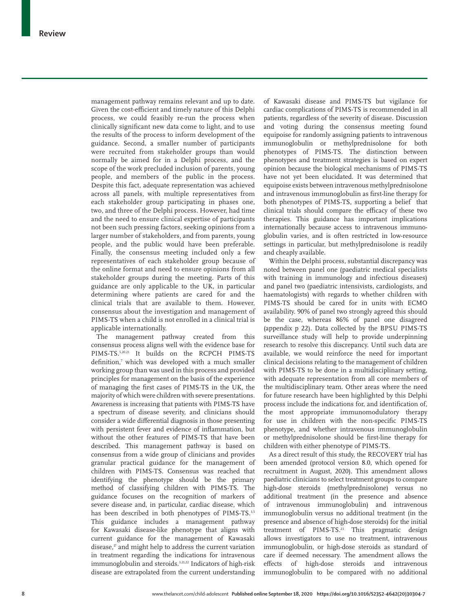management pathway remains relevant and up to date. Given the cost-efficient and timely nature of this Delphi process, we could feasibly re-run the process when clinically significant new data come to light, and to use the results of the process to inform development of the guidance. Second, a smaller number of participants were recruited from stakeholder groups than would normally be aimed for in a Delphi process, and the scope of the work precluded inclusion of parents, young people, and members of the public in the process. Despite this fact, adequate representation was achieved across all panels, with multiple representatives from each stakeholder group participating in phases one, two, and three of the Delphi process. However, had time and the need to ensure clinical expertise of participants not been such pressing factors, seeking opinions from a larger number of stakeholders, and from parents, young people, and the public would have been preferable. Finally, the consensus meeting included only a few representatives of each stakeholder group because of the online format and need to ensure opinions from all stakeholder groups during the meeting. Parts of this guidance are only applicable to the UK, in particular determining where patients are cared for and the clinical trials that are available to them. However, consensus about the investigation and management of PIMS-TS when a child is not enrolled in a clinical trial is applicable internationally.

The management pathway created from this consensus process aligns well with the evidence base for PIMS-TS. 5,20,21 It builds on the RCPCH PIMS-TS definition,<sup>7</sup> which was developed with a much smaller working group than was used in this process and provided principles for management on the basis of the experience of managing the first cases of PIMS-TS in the UK, the majority of which were children with severe presentations. Awareness is increasing that patients with PIMS-TS have a spectrum of disease severity, and clinicians should consider a wide differential diagnosis in those presenting with persistent fever and evidence of inflammation, but without the other features of PIMS-TS that have been described. This management pathway is based on consensus from a wide group of clinicians and provides granular practical guidance for the management of children with PIMS-TS. Consensus was reached that identifying the phenotype should be the primary method of classifying children with PIMS-TS. The guidance focuses on the recognition of markers of severe disease and, in particular, cardiac disease, which has been described in both phenotypes of PIMS-TS.<sup>3,5</sup> This guidance includes a management pathway for Kawasaki disease-like phenotype that aligns with current guidance for the management of Kawasaki disease, $\pi$  and might help to address the current variation in treatment regarding the indications for intravenous immunoglobulin and steroids.<sup>3,21,22</sup> Indicators of high-risk disease are extrapolated from the current understanding

of Kawasaki disease and PIMS-TS but vigilance for cardiac complications of PIMS-TS is recommended in all patients, regardless of the severity of disease. Discussion and voting during the consensus meeting found equipoise for randomly assigning patients to intravenous immunoglobulin or methylprednisolone for both phenotypes of PIMS-TS. The distinction between phenotypes and treatment strategies is based on expert opinion because the biological mechanisms of PIMS-TS have not yet been elucidated. It was determined that equipoise exists between intravenous methylprednisolone and intravenous immunoglobulin as first-line therapy for both phenotypes of PIMS-TS, supporting a belief that clinical trials should compare the efficacy of these two therapies. This guidance has important implications internationally because access to intravenous immunoglobulin varies, and is often restricted in low-resource settings in particular, but methylprednisolone is readily and cheaply available.

Within the Delphi process, substantial discrepancy was noted between panel one (paediatric medical specialists with training in immunology and infectious diseases) and panel two (paediatric intensivists, cardiologists, and haematologists) with regards to whether children with PIMS-TS should be cared for in units with ECMO availability. 90% of panel two strongly agreed this should be the case, whereas 86% of panel one disagreed (appendix p 22). Data collected by the BPSU PIMS-TS surveillance study will help to provide underpinning research to resolve this discrepancy. Until such data are available, we would reinforce the need for important clinical decisions relating to the management of children with PIMS-TS to be done in a multidisciplinary setting, with adequate representation from all core members of the multidisciplinary team. Other areas where the need for future research have been highlighted by this Delphi process include the indications for, and identification of, the most appropriate immunomodulatory therapy for use in children with the non-specific PIMS-TS phenotype, and whether intravenous immunoglobulin or methylprednisolone should be first-line therapy for children with either phenotype of PIMS-TS.

As a direct result of this study, the RECOVERY trial has been amended (protocol version 8.0, which opened for recruitment in August, 2020). This amendment allows paediatric clinicians to select treatment groups to compare high-dose steroids (methylprednisolone) versus no additional treatment (in the presence and absence of intravenous immunoglobulin) and intravenous immunoglobulin versus no additional treatment (in the presence and absence of high-dose steroids) for the initial treatment of PIMS-TS. <sup>23</sup> This pragmatic design allows investigators to use no treatment, intravenous immunoglobulin, or high-dose steroids as standard of care if deemed necessary. The amendment allows the effects of high-dose steroids and intravenous immunoglobulin to be compared with no additional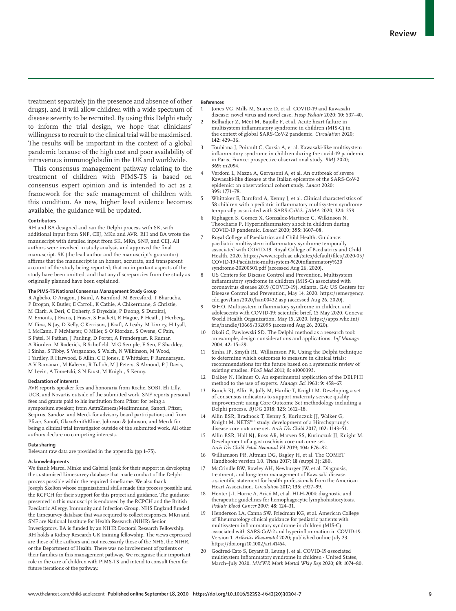treatment separately (in the presence and absence of other drugs), and it will allow children with a wide spectrum of disease severity to be recruited. By using this Delphi study to inform the trial design, we hope that clinicians' willingness to recruit to the clinical trial will be maximised. The results will be important in the context of a global pandemic because of the high cost and poor availability of intravenous immunoglobulin in the UK and worldwide.

This consensus management pathway relating to the treatment of children with PIMS-TS is based on consensus expert opinion and is intended to act as a framework for the safe management of children with this condition. As new, higher level evidence becomes available, the guidance will be updated.

#### **Contributors**

RH and BA designed and ran the Delphi process with SK, with additional input from SNF, CEJ, MKn and AVR. RH and BA wrote the manuscript with detailed input from SK, MKn, SNF, and CEJ. All authors were involved in study analysis and approved the final manuscript. SK (the lead author and the manuscript's guarantor) affirms that the manuscript is an honest, accurate, and transparent account of the study being reported; that no important aspects of the study have been omitted; and that any discrepancies from the study as originally planned have been explained.

## **The PIMS-TS National Consensus Management Study Group**

R Agbeko, O Aragon, J Baird, A Bamford, M Beresford, T Bharucha, P Brogan, K Butler, E Carroll, K Cathie, A Chikermane, S Christie, M Clark, A Deri, C Doherty, S Drysdale, P Duong, S Durairaj, M Emonts, J Evans, J Fraser, S Hackett, R Hague, P Heath, J Herberg, M Ilina, N Jay, D Kelly, C Kerrison, J Kraft, A Leahy, M Linney, H Lyall, L McCann, P McMaster, O Miller, S O'Riordan, S Owens, C Pain, S Patel, N Pathan, J Pauling, D Porter, A Prendergast, R Kumar, A Riorden, M Roderick, B Schofield, M G Semple, E Sen, F Shackley, I Sinha, S Tibby, S Verganano, S Welch, N Wilkinson, M Wood, I Yardley, R Harwood, B Allin, C E Jones, E Whittaker, P Ramnarayan, A V Ramanan, M Kaleem, R Tulloh, M J Peters, S Almond, P J Davis, M Levin, A Tometzki, S N Faust, M Knight, S Kenny.

#### **Declaration of interests**

AVR reports speaker fees and honoraria from Roche, SOBI, Eli Lilly, UCB, and Novartis outside of the submitted work. SNF reports personal fees and grants paid to his institution from Pfizer for being a symposium speaker; from AstraZeneca/Medimmune, Sanofi, Pfizer, Seqirus, Sandoz, and Merck for advisory board participation; and from Pfizer, Sanofi, GlaxoSmithKline, Johnson & Johnson, and Merck for being a clinical trial investigator outside of the submitted work. All other authors declare no competing interests.

#### **Data sharing**

Relevant raw data are provided in the appendix (pp 1–75).

#### **Acknowledgments**

We thank Marcel Minke and Gabriel Jenik for their support in developing the customised Limesurvey database that made conduct of the Delphi process possible within the required timeframe. We also thank Joseph Skelton whose organisational skills made this process possible and the RCPCH for their support for this project and guidance. The guidance presented in this manuscript is endorsed by the RCPCH and the British Paediatric Allergy, Immunity and Infection Group. NHS England funded the Limesurvey database that was required to collect responses. MKn and SNF are National Institute for Health Research (NIHR) Senior Investigators. BA is funded by an NIHR Doctoral Research Fellowship. RH holds a Kidney Research UK training fellowship. The views expressed are those of the authors and not necessarily those of the NHS, the NIHR, or the Department of Health. There was no involvement of patients or their families in this management pathway. We recognise their important role in the care of children with PIMS-TS and intend to consult them for future iterations of the pathway.

#### **References**

- 1 Jones VG, Mills M, Suarez D, et al. COVID-19 and Kawasaki disease: novel virus and novel case. *Hosp Pediatr* 2020; **10:** 537–40.
- 2 Belhadjer Z, Méot M, Bajolle F, et al. Acute heart failure in multisystem inflammatory syndrome in children (MIS-C) in the context of global SARS-CoV-2 pandemic. *Circulation* 2020; **142:** 429–36.
- 3 Toubiana J, Poirault C, Corsia A, et al. Kawasaki-like multisystem inflammatory syndrome in children during the covid-19 pandemic in Paris, France: prospective observational study. *BMJ* 2020; **369:** m2094.
- Verdoni L, Mazza A, Gervasoni A, et al. An outbreak of severe Kawasaki-like disease at the Italian epicentre of the SARS-CoV-2 epidemic: an observational cohort study. *Lancet* 2020; **395:** 1771–78.
- 5 Whittaker E, Bamford A, Kenny J, et al. Clinical characteristics of 58 children with a pediatric inflammatory multisystem syndrome temporally associated with SARS-CoV-2. *JAMA* 2020; **324:** 259.
- 6 Riphagen S, Gomez X, Gonzalez-Martinez C, Wilkinson N, Theocharis P. Hyperinflammatory shock in children during COVID-19 pandemic. *Lancet* 2020; **395:** 1607–08.
- Royal College of Paediatrics and Child Health. Guidance: paediatric multisystem inflammatory syndrome temporally associated with COVID-19. Royal College of Paediatrics and Child Health, 2020. https://www.rcpch.ac.uk/sites/default/files/2020-05/ COVID-19-Paediatric-multisystem-%20inflammatory%20 syndrome-20200501.pdf (accessed Aug 26, 2020).
- US Centers for Disease Control and Prevention. Multisystem inflammatory syndrome in children (MIS-C) associated with coronavirus disease 2019 (COVID-19). Atlanta, GA: US Centers for Disease Control and Prevention, May 14, 2020. https://emergency. cdc.gov/han/2020/han00432.asp (accessed Aug 26, 2020).
- WHO. Multisystem inflammatory syndrome in children and adolescents with COVID-19: scientific brief, 15 May 2020. Geneva: World Health Organization, May 15, 2020. https://apps.who.int/ iris/handle/10665/332095 (accessed Aug 26, 2020).
- 10 Okoli C, Pawlowski SD. The Delphi method as a research tool: an example, design considerations and applications. *Inf Manage* 2004; **42:** 15–29.
- 11 Sinha IP, Smyth RL, Williamson PR. Using the Delphi technique to determine which outcomes to measure in clinical trials: recommendations for the future based on a systematic review of existing studies. *PLoS Med* 2011; **8:** e1000393.
- 12 Dalkey N, Helmer O. An experimental application of the DELPHI method to the use of experts. *Manage Sci* 1963; **9:** 458–67.
- Bunch KJ, Allin B, Jolly M, Hardie T, Knight M. Developing a set of consensus indicators to support maternity service quality improvement: using Core Outcome Set methodology including a Delphi process. *BJOG* 2018; **125:** 1612–18.
- 14 Allin BSR, Bradnock T, Kenny S, Kurinczuk JJ, Walker G, Knight M. NETS<sup>1HD</sup> study: development of a Hirschsprung's disease core outcome set. *Arch Dis Child* 2017; **102:** 1143–51.
- 15 Allin BSR, Hall NJ, Ross AR, Marven SS, Kurinczuk JJ, Knight M. Development of a gastroschisis core outcome set. *Arch Dis Child Fetal Neonatal Ed* 2019; **104:** F76–82.
- 16 Williamson PR, Altman DG, Bagley H, et al. The COMET Handbook: version 1.0. *Trials* 2017; **18** (suppl 3)**:** 280.
- McCrindle BW, Rowley AH, Newburger JW, et al. Diagnosis, treatment, and long-term management of Kawasaki disease: a scientific statement for health professionals from the American Heart Association. *Circulation* 2017; **135:** e927–99.
- 18 Henter J-I, Horne A, Aricó M, et al. HLH-2004: diagnostic and therapeutic guidelines for hemophagocytic lymphohistiocytosis. *Pediatr Blood Cancer* 2007; **48:** 124–31.
- 19 Henderson LA, Canna SW, Friedman KG, et al. American College of Rheumatology clinical guidance for pediatric patients with multisystem inflammatory syndrome in children (MIS-C) associated with SARS-CoV-2 and hyperinflammation in COVID-19. Version 1. *Arthritis Rheumatol* 2020; published online July 23. https://doi.org/10.1002/art.41454.
- 20 Godfred-Cato S, Bryant B, Leung J, et al. COVID-19-associated multisystem inflammatory syndrome in children - United States, March–July 2020. *MMWR Morb Mortal Wkly Rep* 2020; **69:** 1074–80.